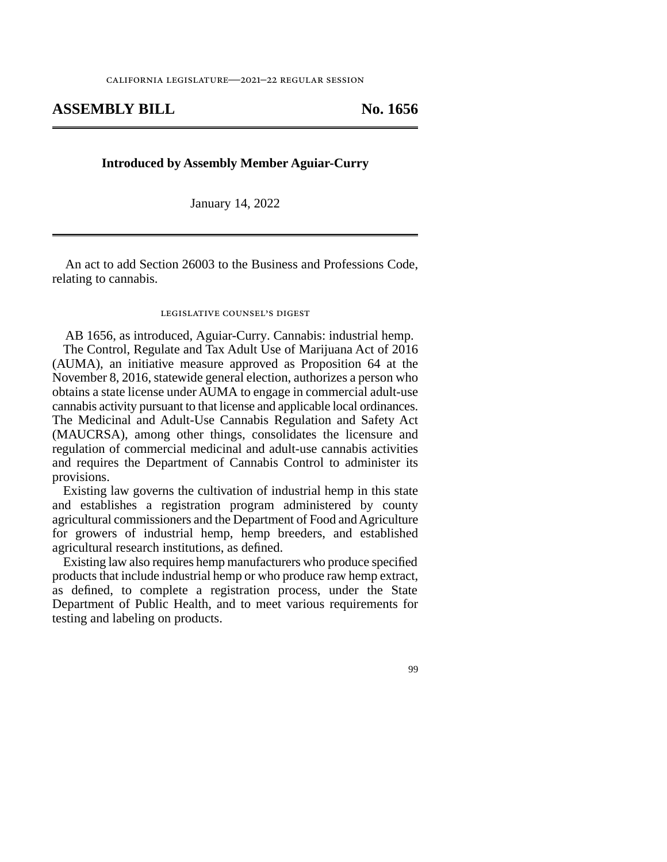## **ASSEMBLY BILL No. 1656**

## **Introduced by Assembly Member Aguiar-Curry**

January 14, 2022

An act to add Section 26003 to the Business and Professions Code, relating to cannabis.

## legislative counsel's digest

AB 1656, as introduced, Aguiar-Curry. Cannabis: industrial hemp. The Control, Regulate and Tax Adult Use of Marijuana Act of 2016 (AUMA), an initiative measure approved as Proposition 64 at the November 8, 2016, statewide general election, authorizes a person who obtains a state license under AUMA to engage in commercial adult-use cannabis activity pursuant to that license and applicable local ordinances. The Medicinal and Adult-Use Cannabis Regulation and Safety Act (MAUCRSA), among other things, consolidates the licensure and regulation of commercial medicinal and adult-use cannabis activities and requires the Department of Cannabis Control to administer its provisions.

Existing law governs the cultivation of industrial hemp in this state and establishes a registration program administered by county agricultural commissioners and the Department of Food and Agriculture for growers of industrial hemp, hemp breeders, and established agricultural research institutions, as defined.

Existing law also requires hemp manufacturers who produce specified products that include industrial hemp or who produce raw hemp extract, as defined, to complete a registration process, under the State Department of Public Health, and to meet various requirements for testing and labeling on products.

99